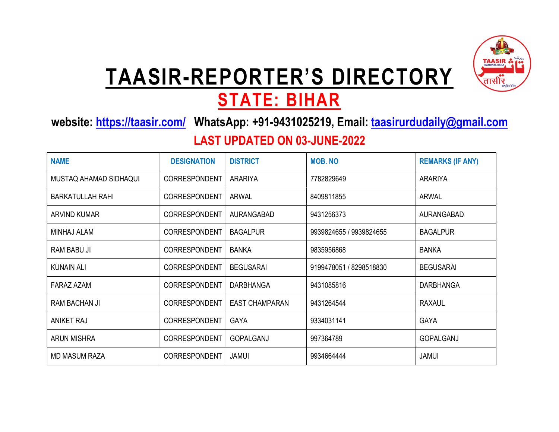

# TAASIR-REPORTER'S DIRECTORY

### STATE: BIHAR

website: https://taasir.com/ WhatsApp: +91-9431025219, Email: taasirurdudaily@gmail.com

#### LAST UPDATED ON 03-JUNE-2022

| <b>NAME</b>             | <b>DESIGNATION</b>   | <b>DISTRICT</b>       | <b>MOB, NO</b>          | <b>REMARKS (IF ANY)</b> |
|-------------------------|----------------------|-----------------------|-------------------------|-------------------------|
| MUSTAQ AHAMAD SIDHAQUI  | CORRESPONDENT        | <b>ARARIYA</b>        | 7782829649              | <b>ARARIYA</b>          |
| <b>BARKATULLAH RAHI</b> | CORRESPONDENT        | <b>ARWAL</b>          | 8409811855              | ARWAL                   |
| ARVIND KUMAR            | <b>CORRESPONDENT</b> | <b>AURANGABAD</b>     | 9431256373              | AURANGABAD              |
| <b>MINHAJ ALAM</b>      | <b>CORRESPONDENT</b> | <b>BAGALPUR</b>       | 9939824655 / 9939824655 | <b>BAGALPUR</b>         |
| <b>RAM BABU JI</b>      | <b>CORRESPONDENT</b> | <b>BANKA</b>          | 9835956868              | <b>BANKA</b>            |
| <b>KUNAIN ALI</b>       | <b>CORRESPONDENT</b> | <b>BEGUSARAI</b>      | 9199478051 / 8298518830 | <b>BEGUSARAI</b>        |
| FARAZ AZAM              | <b>CORRESPONDENT</b> | <b>DARBHANGA</b>      | 9431085816              | <b>DARBHANGA</b>        |
| <b>RAM BACHAN JI</b>    | <b>CORRESPONDENT</b> | <b>EAST CHAMPARAN</b> | 9431264544              | <b>RAXAUL</b>           |
| <b>ANIKET RAJ</b>       | <b>CORRESPONDENT</b> | <b>GAYA</b>           | 9334031141              | <b>GAYA</b>             |
| <b>ARUN MISHRA</b>      | <b>CORRESPONDENT</b> | GOPALGANJ             | 997364789               | GOPALGANJ               |
| <b>MD MASUM RAZA</b>    | <b>CORRESPONDENT</b> | <b>JAMUI</b>          | 9934664444              | <b>JAMUI</b>            |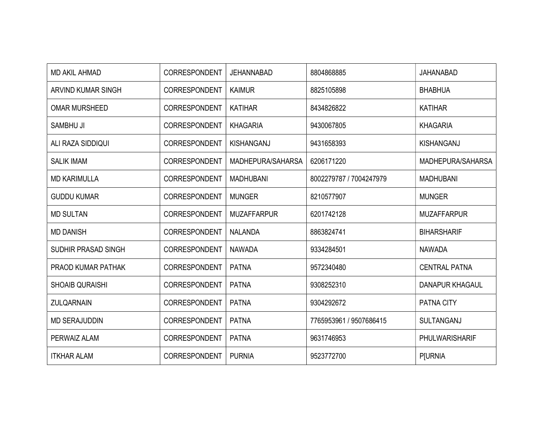| <b>MD AKIL AHMAD</b>   | CORRESPONDENT        | <b>JEHANNABAD</b>        | 8804868885              | <b>JAHANABAD</b>       |
|------------------------|----------------------|--------------------------|-------------------------|------------------------|
| ARVIND KUMAR SINGH     | <b>CORRESPONDENT</b> | <b>KAIMUR</b>            | 8825105898              | <b>BHABHUA</b>         |
| <b>OMAR MURSHEED</b>   | CORRESPONDENT        | <b>KATIHAR</b>           | 8434826822              | <b>KATIHAR</b>         |
| <b>SAMBHU JI</b>       | <b>CORRESPONDENT</b> | <b>KHAGARIA</b>          | 9430067805              | <b>KHAGARIA</b>        |
| ALI RAZA SIDDIQUI      | CORRESPONDENT        | KISHANGANJ               | 9431658393              | KISHANGANJ             |
| <b>SALIK IMAM</b>      | CORRESPONDENT        | <b>MADHEPURA/SAHARSA</b> | 6206171220              | MADHEPURA/SAHARSA      |
| <b>MD KARIMULLA</b>    | <b>CORRESPONDENT</b> | <b>MADHUBANI</b>         | 8002279787 / 7004247979 | <b>MADHUBANI</b>       |
| <b>GUDDU KUMAR</b>     | CORRESPONDENT        | <b>MUNGER</b>            | 8210577907              | <b>MUNGER</b>          |
| <b>MD SULTAN</b>       | <b>CORRESPONDENT</b> | <b>MUZAFFARPUR</b>       | 6201742128              | <b>MUZAFFARPUR</b>     |
| <b>MD DANISH</b>       | <b>CORRESPONDENT</b> | <b>NALANDA</b>           | 8863824741              | <b>BIHARSHARIF</b>     |
| SUDHIR PRASAD SINGH    | CORRESPONDENT        | <b>NAWADA</b>            | 9334284501              | <b>NAWADA</b>          |
| PRAOD KUMAR PATHAK     | <b>CORRESPONDENT</b> | <b>PATNA</b>             | 9572340480              | <b>CENTRAL PATNA</b>   |
| <b>SHOAIB QURAISHI</b> | <b>CORRESPONDENT</b> | <b>PATNA</b>             | 9308252310              | <b>DANAPUR KHAGAUL</b> |
| <b>ZULQARNAIN</b>      | <b>CORRESPONDENT</b> | <b>PATNA</b>             | 9304292672              | PATNA CITY             |
| <b>MD SERAJUDDIN</b>   | CORRESPONDENT        | <b>PATNA</b>             | 7765953961 / 9507686415 | SULTANGANJ             |
| PERWAIZ ALAM           | CORRESPONDENT        | <b>PATNA</b>             | 9631746953              | PHULWARISHARIF         |
| <b>ITKHAR ALAM</b>     | <b>CORRESPONDENT</b> | <b>PURNIA</b>            | 9523772700              | <b>P[URNIA</b>         |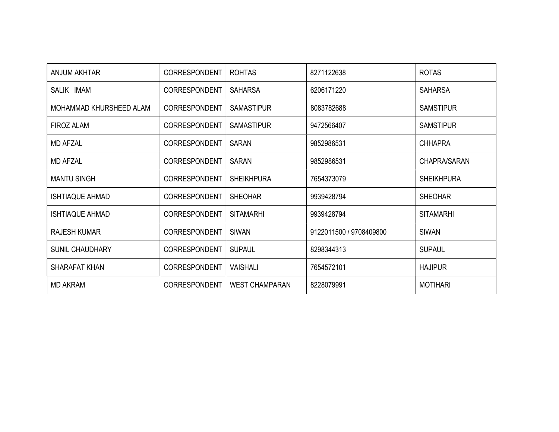| ANJUM AKHTAR            | <b>CORRESPONDENT</b> | <b>ROHTAS</b>         | 8271122638              | <b>ROTAS</b>        |
|-------------------------|----------------------|-----------------------|-------------------------|---------------------|
| SALIK IMAM              | <b>CORRESPONDENT</b> | <b>SAHARSA</b>        | 6206171220              | <b>SAHARSA</b>      |
| MOHAMMAD KHURSHEED ALAM | <b>CORRESPONDENT</b> | <b>SAMASTIPUR</b>     | 8083782688              | <b>SAMSTIPUR</b>    |
| <b>FIROZ ALAM</b>       | <b>CORRESPONDENT</b> | <b>SAMASTIPUR</b>     | 9472566407              | <b>SAMSTIPUR</b>    |
| <b>MD AFZAL</b>         | <b>CORRESPONDENT</b> | <b>SARAN</b>          | 9852986531              | <b>CHHAPRA</b>      |
| <b>MD AFZAL</b>         | <b>CORRESPONDENT</b> | <b>SARAN</b>          | 9852986531              | <b>CHAPRA/SARAN</b> |
| <b>MANTU SINGH</b>      | <b>CORRESPONDENT</b> | <b>SHEIKHPURA</b>     | 7654373079              | <b>SHEIKHPURA</b>   |
| ISHTIAQUE AHMAD         | <b>CORRESPONDENT</b> | <b>SHEOHAR</b>        | 9939428794              | <b>SHEOHAR</b>      |
| ISHTIAQUE AHMAD         | <b>CORRESPONDENT</b> | <b>SITAMARHI</b>      | 9939428794              | <b>SITAMARHI</b>    |
| <b>RAJESH KUMAR</b>     | <b>CORRESPONDENT</b> | <b>SIWAN</b>          | 9122011500 / 9708409800 | <b>SIWAN</b>        |
| <b>SUNIL CHAUDHARY</b>  | <b>CORRESPONDENT</b> | <b>SUPAUL</b>         | 8298344313              | <b>SUPAUL</b>       |
| SHARAFAT KHAN           | <b>CORRESPONDENT</b> | <b>VAISHALI</b>       | 7654572101              | <b>HAJIPUR</b>      |
| <b>MD AKRAM</b>         | <b>CORRESPONDENT</b> | <b>WEST CHAMPARAN</b> | 8228079991              | <b>MOTIHARI</b>     |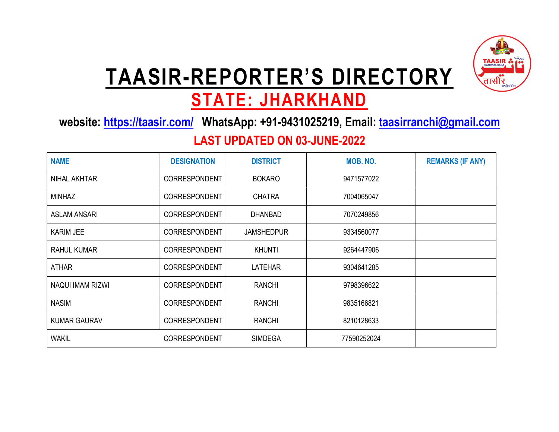

## TAASIR-REPORTER'S DIRECTORY

## STATE: JHARKHAND

website: https://taasir.com/ WhatsApp: +91-9431025219, Email: taasirranchi@gmail.com

#### LAST UPDATED ON 03-JUNE-2022

| <b>NAME</b>             | <b>DESIGNATION</b>   | <b>DISTRICT</b>   | MOB, NO.    | <b>REMARKS (IF ANY)</b> |
|-------------------------|----------------------|-------------------|-------------|-------------------------|
| NIHAL AKHTAR            | <b>CORRESPONDENT</b> | <b>BOKARO</b>     | 9471577022  |                         |
| <b>MINHAZ</b>           | <b>CORRESPONDENT</b> | <b>CHATRA</b>     | 7004065047  |                         |
| <b>ASLAM ANSARI</b>     | CORRESPONDENT        | <b>DHANBAD</b>    | 7070249856  |                         |
| <b>KARIM JEE</b>        | <b>CORRESPONDENT</b> | <b>JAMSHEDPUR</b> | 9334560077  |                         |
| RAHUL KUMAR             | <b>CORRESPONDENT</b> | <b>KHUNTI</b>     | 9264447906  |                         |
| <b>ATHAR</b>            | <b>CORRESPONDENT</b> | <b>LATEHAR</b>    | 9304641285  |                         |
| <b>NAQUI IMAM RIZWI</b> | <b>CORRESPONDENT</b> | <b>RANCHI</b>     | 9798396622  |                         |
| <b>NASIM</b>            | <b>CORRESPONDENT</b> | <b>RANCHI</b>     | 9835166821  |                         |
| <b>KUMAR GAURAV</b>     | <b>CORRESPONDENT</b> | <b>RANCHI</b>     | 8210128633  |                         |
| <b>WAKIL</b>            | <b>CORRESPONDENT</b> | <b>SIMDEGA</b>    | 77590252024 |                         |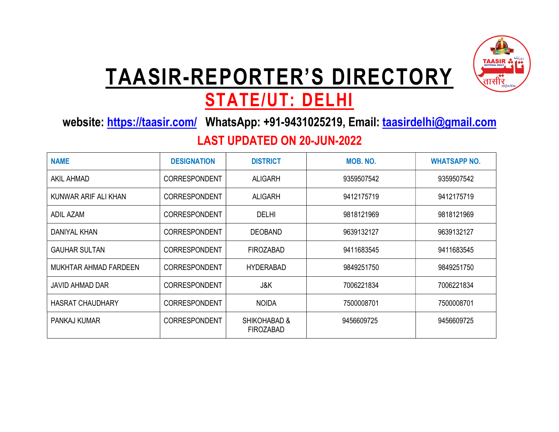

# TAASIR-REPORTER'S DIRECTORY

## STATE/UT: DELHI

website: https://taasir.com/ WhatsApp: +91-9431025219, Email: taasirdelhi@gmail.com

### LAST UPDATED ON 20-JUN-2022

| <b>NAME</b>             | <b>DESIGNATION</b>   | <b>DISTRICT</b>                  | MOB. NO.   | <b>WHATSAPP NO.</b> |
|-------------------------|----------------------|----------------------------------|------------|---------------------|
| AKIL AHMAD              | <b>CORRESPONDENT</b> | <b>ALIGARH</b>                   | 9359507542 | 9359507542          |
| KUNWAR ARIF ALI KHAN    | CORRESPONDENT        | ALIGARH                          | 9412175719 | 9412175719          |
| ADIL AZAM               | <b>CORRESPONDENT</b> | <b>DELHI</b>                     | 9818121969 | 9818121969          |
| DANIYAL KHAN            | <b>CORRESPONDENT</b> | <b>DEOBAND</b>                   | 9639132127 | 9639132127          |
| <b>GAUHAR SULTAN</b>    | <b>CORRESPONDENT</b> | <b>FIROZABAD</b>                 | 9411683545 | 9411683545          |
| MUKHTAR AHMAD FARDEEN   | CORRESPONDENT        | <b>HYDERABAD</b>                 | 9849251750 | 9849251750          |
| JAVID AHMAD DAR         | CORRESPONDENT        | J&K                              | 7006221834 | 7006221834          |
| <b>HASRAT CHAUDHARY</b> | <b>CORRESPONDENT</b> | <b>NOIDA</b>                     | 7500008701 | 7500008701          |
| PANKAJ KUMAR            | <b>CORRESPONDENT</b> | SHIKOHABAD &<br><b>FIROZABAD</b> | 9456609725 | 9456609725          |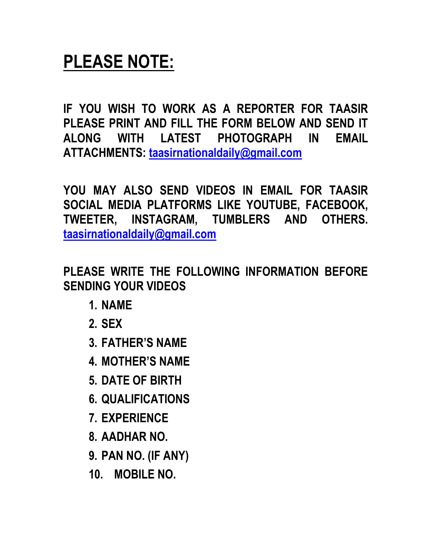### PLEASE NOTE:

IF YOU WISH TO WORK AS A REPORTER FOR TAASIR PLEASE PRINT AND FILL THE FORM BELOW AND SEND IT ALONG WITH LATEST PHOTOGRAPH IN EMAIL ATTACHMENTS: taasirnationaldaily@gmail.com

YOU MAY ALSO SEND VIDEOS IN EMAIL FOR TAASIR SOCIAL MEDIA PLATFORMS LIKE YOUTUBE, FACEBOOK, TWEETER, INSTAGRAM, TUMBLERS AND OTHERS. taasirnationaldaily@gmail.com

PLEASE WRITE THE FOLLOWING INFORMATION BEFORE SENDING YOUR VIDEOS

- 1. NAME
- 2. SEX
- 3. FATHER'S NAME
- 4. MOTHER'S NAME
- 5. DATE OF BIRTH
- 6. QUALIFICATIONS
- 7. EXPERIENCE
- 8. AADHAR NO.
- 9. PAN NO. (IF ANY)
- 10. MOBILE NO.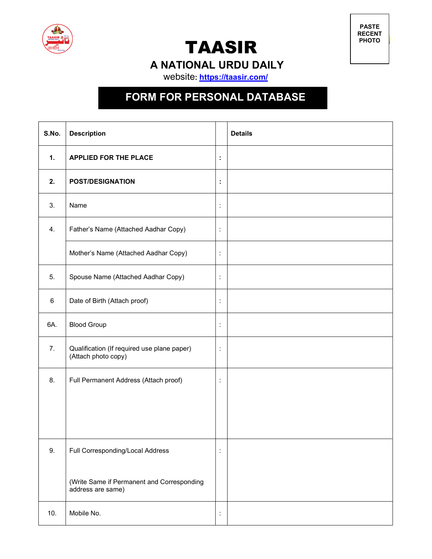

TAASIR

PASTE RECENT PHOTO

A NATIONAL URDU DAILY

website: https://taasir.com/

### FORM FOR PERSONAL DATABASE

| S.No. | <b>Description</b>                                                 |                      | <b>Details</b> |
|-------|--------------------------------------------------------------------|----------------------|----------------|
| 1.    | <b>APPLIED FOR THE PLACE</b>                                       | $\ddot{\phantom{a}}$ |                |
| 2.    | <b>POST/DESIGNATION</b>                                            | İ,                   |                |
| 3.    | Name                                                               | $\ddot{\cdot}$       |                |
| 4.    | Father's Name (Attached Aadhar Copy)                               | $\ddot{\cdot}$       |                |
|       | Mother's Name (Attached Aadhar Copy)                               | $\vdots$             |                |
| 5.    | Spouse Name (Attached Aadhar Copy)                                 | $\ddot{\cdot}$       |                |
| 6     | Date of Birth (Attach proof)                                       | $\ddot{\cdot}$       |                |
| 6A.   | <b>Blood Group</b>                                                 | $\ddot{\cdot}$       |                |
| 7.    | Qualification (If required use plane paper)<br>(Attach photo copy) | ÷                    |                |
| 8.    | Full Permanent Address (Attach proof)                              | $\ddot{\cdot}$       |                |
|       |                                                                    |                      |                |
|       |                                                                    |                      |                |
| 9.    | Full Corresponding/Local Address                                   | $\ddot{\cdot}$       |                |
|       | (Write Same if Permanent and Corresponding<br>address are same)    |                      |                |
| 10.   | Mobile No.                                                         | $\ddot{\cdot}$       |                |